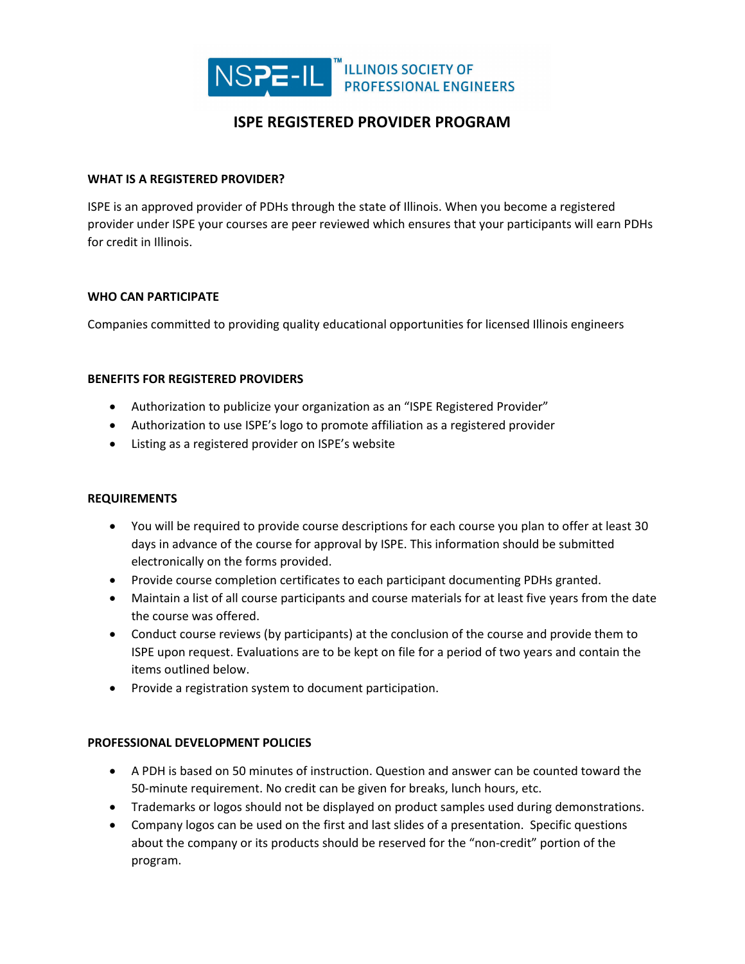

# **ISPE REGISTERED PROVIDER PROGRAM**

#### **WHAT IS A REGISTERED PROVIDER?**

ISPE is an approved provider of PDHs through the state of Illinois. When you become a registered provider under ISPE your courses are peer reviewed which ensures that your participants will earn PDHs for credit in Illinois.

#### **WHO CAN PARTICIPATE**

Companies committed to providing quality educational opportunities for licensed Illinois engineers

## **BENEFITS FOR REGISTERED PROVIDERS**

- Authorization to publicize your organization as an "ISPE Registered Provider"
- Authorization to use ISPE's logo to promote affiliation as a registered provider
- Listing as a registered provider on ISPE's website

#### **REQUIREMENTS**

- You will be required to provide course descriptions for each course you plan to offer at least 30 days in advance of the course for approval by ISPE. This information should be submitted electronically on the forms provided.
- Provide course completion certificates to each participant documenting PDHs granted.
- Maintain a list of all course participants and course materials for at least five years from the date the course was offered.
- Conduct course reviews (by participants) at the conclusion of the course and provide them to ISPE upon request. Evaluations are to be kept on file for a period of two years and contain the items outlined below.
- Provide a registration system to document participation.

#### **PROFESSIONAL DEVELOPMENT POLICIES**

- A PDH is based on 50 minutes of instruction. Question and answer can be counted toward the 50-minute requirement. No credit can be given for breaks, lunch hours, etc.
- Trademarks or logos should not be displayed on product samples used during demonstrations.
- Company logos can be used on the first and last slides of a presentation. Specific questions about the company or its products should be reserved for the "non-credit" portion of the program.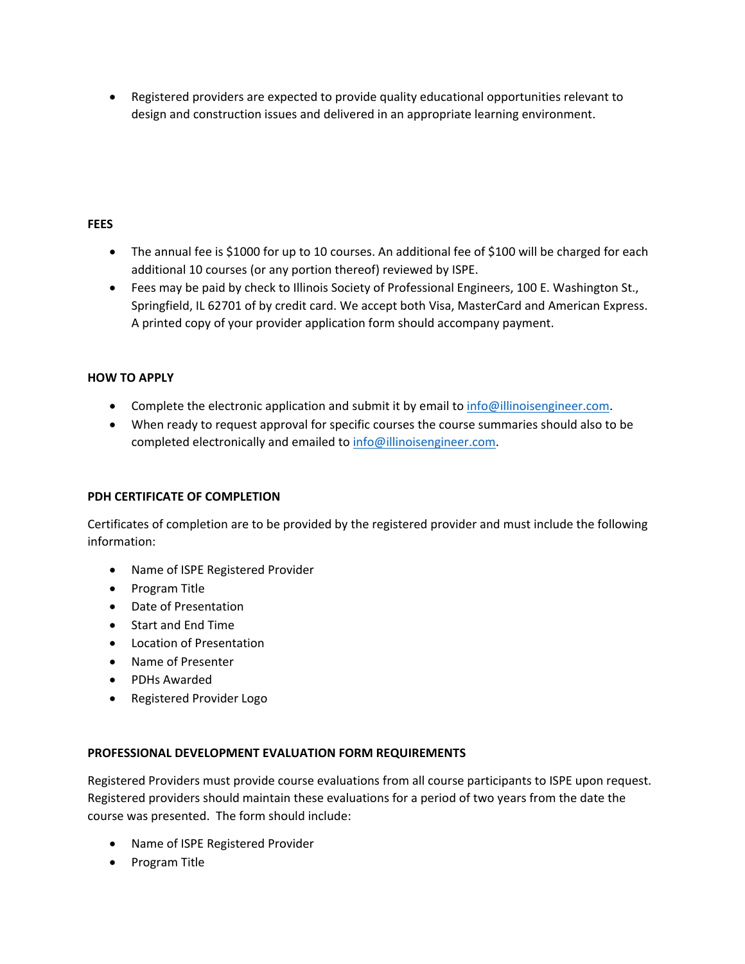• Registered providers are expected to provide quality educational opportunities relevant to design and construction issues and delivered in an appropriate learning environment.

## **FEES**

- The annual fee is \$1000 for up to 10 courses. An additional fee of \$100 will be charged for each additional 10 courses (or any portion thereof) reviewed by ISPE.
- Fees may be paid by check to Illinois Society of Professional Engineers, 100 E. Washington St., Springfield, IL 62701 of by credit card. We accept both Visa, MasterCard and American Express. A printed copy of your provider application form should accompany payment.

# **HOW TO APPLY**

- Complete the electronic application and submit it by email to [info@illinoisengineer.com.](mailto:info@illinoisengineer.com)
- When ready to request approval for specific courses the course summaries should also to be completed electronically and emailed to [info@illinoisengineer.com.](mailto:info@illinoisengineer.com)

#### **PDH CERTIFICATE OF COMPLETION**

Certificates of completion are to be provided by the registered provider and must include the following information:

- Name of ISPE Registered Provider
- Program Title
- Date of Presentation
- Start and End Time
- Location of Presentation
- Name of Presenter
- PDHs Awarded
- Registered Provider Logo

#### **PROFESSIONAL DEVELOPMENT EVALUATION FORM REQUIREMENTS**

Registered Providers must provide course evaluations from all course participants to ISPE upon request. Registered providers should maintain these evaluations for a period of two years from the date the course was presented. The form should include:

- Name of ISPE Registered Provider
- Program Title